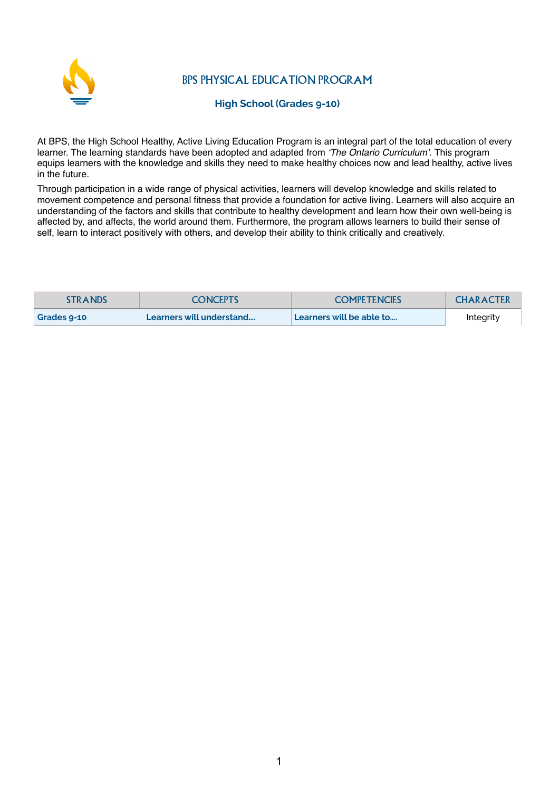

BPS PHYSICAL EDUCATION PROGRAM

## **High School (Grades 9-10)**

At BPS, the High School Healthy, Active Living Education Program is an integral part of the total education of every learner. The learning standards have been adopted and adapted from *'The Ontario Curriculum'.* This program equips learners with the knowledge and skills they need to make healthy choices now and lead healthy, active lives in the future.

Through participation in a wide range of physical activities, learners will develop knowledge and skills related to movement competence and personal fitness that provide a foundation for active living. Learners will also acquire an understanding of the factors and skills that contribute to healthy development and learn how their own well-being is affected by, and affects, the world around them. Furthermore, the program allows learners to build their sense of self, learn to interact positively with others, and develop their ability to think critically and creatively.

| <b>STRANDS</b> | <b>CONCEPTS</b>          | <b>COMPETENCIES</b>      | <b>CHARACTER</b> |
|----------------|--------------------------|--------------------------|------------------|
| Grades 9-10    | Learners will understand | Learners will be able to | Integrity        |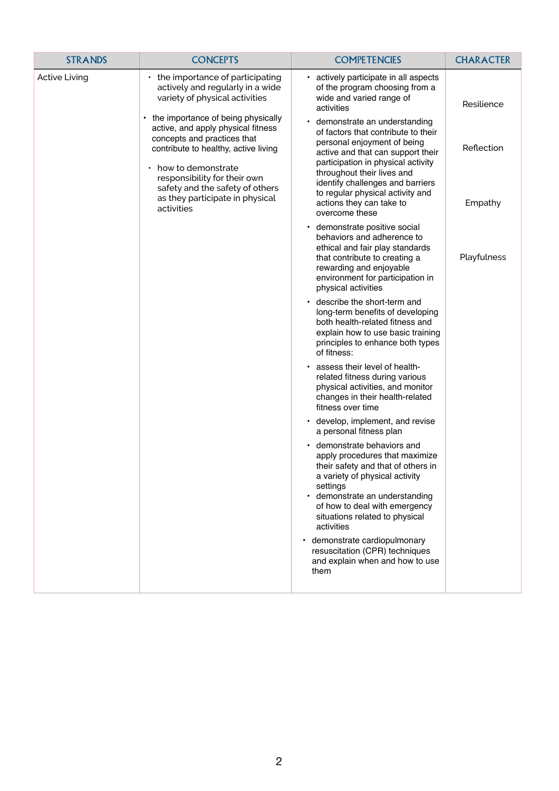| <b>STRANDS</b>       | <b>CONCEPTS</b>                                                                                                                                                                                                                                                                           | <b>COMPETENCIES</b>                                                                                                                                                                                                                                                                                                                            | <b>CHARACTER</b>      |
|----------------------|-------------------------------------------------------------------------------------------------------------------------------------------------------------------------------------------------------------------------------------------------------------------------------------------|------------------------------------------------------------------------------------------------------------------------------------------------------------------------------------------------------------------------------------------------------------------------------------------------------------------------------------------------|-----------------------|
| <b>Active Living</b> | $\cdot$ the importance of participating<br>actively and regularly in a wide<br>variety of physical activities                                                                                                                                                                             | • actively participate in all aspects<br>of the program choosing from a<br>wide and varied range of<br>activities                                                                                                                                                                                                                              | Resilience            |
|                      | the importance of being physically<br>active, and apply physical fitness<br>concepts and practices that<br>contribute to healthy, active living<br>how to demonstrate<br>responsibility for their own<br>safety and the safety of others<br>as they participate in physical<br>activities | demonstrate an understanding<br>$\bullet$<br>of factors that contribute to their<br>personal enjoyment of being<br>active and that can support their<br>participation in physical activity<br>throughout their lives and<br>identify challenges and barriers<br>to regular physical activity and<br>actions they can take to<br>overcome these | Reflection<br>Empathy |
|                      |                                                                                                                                                                                                                                                                                           | • demonstrate positive social<br>behaviors and adherence to<br>ethical and fair play standards<br>that contribute to creating a<br>rewarding and enjoyable<br>environment for participation in<br>physical activities                                                                                                                          | Playfulness           |
|                      |                                                                                                                                                                                                                                                                                           | • describe the short-term and<br>long-term benefits of developing<br>both health-related fitness and<br>explain how to use basic training<br>principles to enhance both types<br>of fitness:                                                                                                                                                   |                       |
|                      |                                                                                                                                                                                                                                                                                           | . assess their level of health-<br>related fitness during various<br>physical activities, and monitor<br>changes in their health-related<br>fitness over time                                                                                                                                                                                  |                       |
|                      |                                                                                                                                                                                                                                                                                           | • develop, implement, and revise<br>a personal fitness plan                                                                                                                                                                                                                                                                                    |                       |
|                      |                                                                                                                                                                                                                                                                                           | • demonstrate behaviors and<br>apply procedures that maximize<br>their safety and that of others in<br>a variety of physical activity<br>settings<br>• demonstrate an understanding<br>of how to deal with emergency<br>situations related to physical<br>activities                                                                           |                       |
|                      |                                                                                                                                                                                                                                                                                           | demonstrate cardiopulmonary<br>resuscitation (CPR) techniques<br>and explain when and how to use<br>them                                                                                                                                                                                                                                       |                       |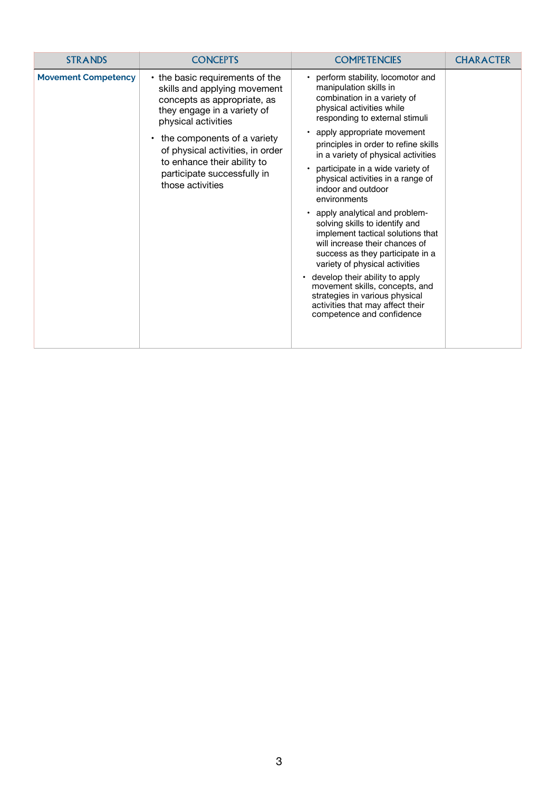| <b>STRANDS</b>             | <b>CONCEPTS</b>                                                                                                                                                                                                                                                                                           | <b>COMPETENCIES</b>                                                                                                                                                                                                                                                                                                                                                                                                                                                                                                                                                                                                                                                                                                                                                             | <b>CHARACTER</b> |
|----------------------------|-----------------------------------------------------------------------------------------------------------------------------------------------------------------------------------------------------------------------------------------------------------------------------------------------------------|---------------------------------------------------------------------------------------------------------------------------------------------------------------------------------------------------------------------------------------------------------------------------------------------------------------------------------------------------------------------------------------------------------------------------------------------------------------------------------------------------------------------------------------------------------------------------------------------------------------------------------------------------------------------------------------------------------------------------------------------------------------------------------|------------------|
| <b>Movement Competency</b> | • the basic requirements of the<br>skills and applying movement<br>concepts as appropriate, as<br>they engage in a variety of<br>physical activities<br>the components of a variety<br>of physical activities, in order<br>to enhance their ability to<br>participate successfully in<br>those activities | perform stability, locomotor and<br>manipulation skills in<br>combination in a variety of<br>physical activities while<br>responding to external stimuli<br>• apply appropriate movement<br>principles in order to refine skills<br>in a variety of physical activities<br>participate in a wide variety of<br>physical activities in a range of<br>indoor and outdoor<br>environments<br>• apply analytical and problem-<br>solving skills to identify and<br>implement tactical solutions that<br>will increase their chances of<br>success as they participate in a<br>variety of physical activities<br>develop their ability to apply<br>movement skills, concepts, and<br>strategies in various physical<br>activities that may affect their<br>competence and confidence |                  |